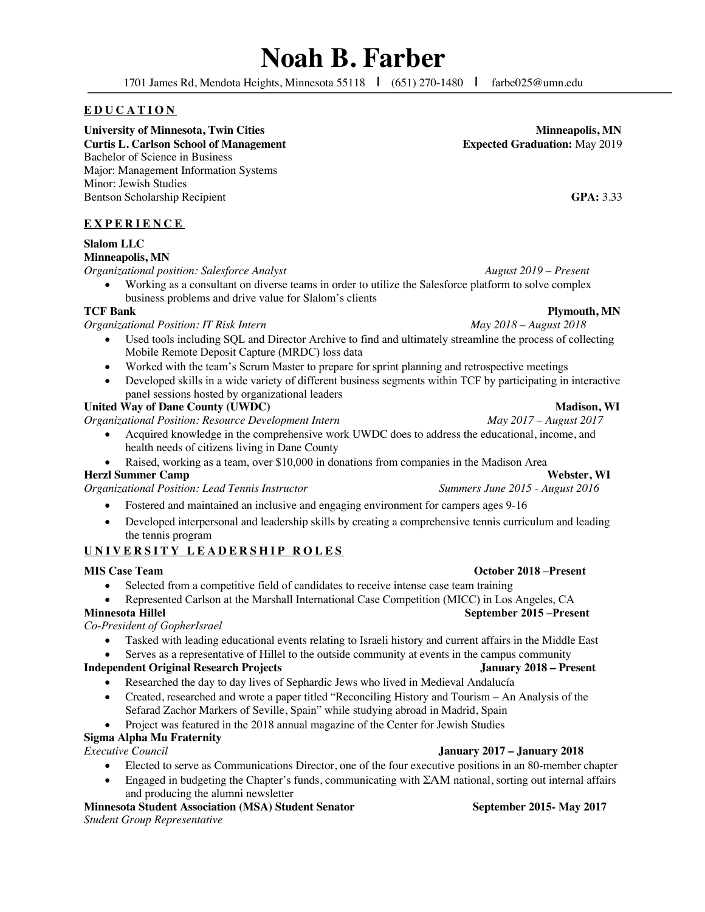# **Noah B. Farber**

1701 James Rd, Mendota Heights, Minnesota 55118 **|** (651) 270-1480 **|** farbe025@umn.edu

# **EDUCATION**

University of Minnesota, Twin Cities **Minneapolis, MN**<br>
Curtis L. Carlson School of Management **Minneapolis, MN Expected Graduation:** May 2019 **Curtis L. Carlson School of Management** Bachelor of Science in Business Major: Management Information Systems Minor: Jewish Studies Bentson Scholarship Recipient **GPA:** 3.33

# **EXPERIENCE**

# **Slalom LLC Minneapolis, MN**

*Organizational position: Salesforce Analyst**August 2019 – Present*

• Working as a consultant on diverse teams in order to utilize the Salesforce platform to solve complex business problems and drive value for Slalom's clients TCF Bank

*Organizational Position: IT Risk Intern* 

- Used tools including SQL and Director Archive to find and ultimately streamline the process of collecting Mobile Remote Deposit Capture (MRDC) loss data
- Worked with the team's Scrum Master to prepare for sprint planning and retrospective meetings
- Developed skills in a wide variety of different business segments within TCF by participating in interactive panel sessions hosted by organizational leaders

# United Way of Dane County **(UWDC)** and the country of Dane County **Madison**, WI

*Organizational Position: Resource Development Intern May 2017 – August 2017*

- Acquired knowledge in the comprehensive work UWDC does to address the educational, income, and health needs of citizens living in Dane County
- Raised, working as a team, over \$10,000 in donations from companies in the Madison Area

*Organizational Position: Lead Tennis Instructor Summers June 2015 - August 2016*

- Fostered and maintained an inclusive and engaging environment for campers ages 9-16
- Developed interpersonal and leadership skills by creating a comprehensive tennis curriculum and leading the tennis program

# **UNIVERSITY LEADERSHIP ROLES**

### **MIS Case Team October 2018 –Present**

- Selected from a competitive field of candidates to receive intense case team training
- Represented Carlson at the Marshall International Case Competition (MICC) in Los Angeles, CA

# **Minnesota Hillel September 2015 –Present**

*Co-President of GopherIsrael*

- Tasked with leading educational events relating to Israeli history and current affairs in the Middle East
- Serves as a representative of Hillel to the outside community at events in the campus community

### **Independent Original Research Projects January 2018 – Present**

- Researched the day to day lives of Sephardic Jews who lived in Medieval Andalucía
- Created, researched and wrote a paper titled "Reconciling History and Tourism An Analysis of the Sefarad Zachor Markers of Seville, Spain" while studying abroad in Madrid, Spain
- Project was featured in the 2018 annual magazine of the Center for Jewish Studies

# **Sigma Alpha Mu Fraternity**

### *Executive Council* **January 2017 – January 2018**

- Elected to serve as Communications Director, one of the four executive positions in an 80-member chapter
	- Engaged in budgeting the Chapter's funds, communicating with ΣΑΜ national, sorting out internal affairs and producing the alumni newsletter

# **Minnesota Student Association (MSA) Student Senator September 2015- May 2017**

*Student Group Representative*

**Plymouth, MN**<br>*May 2018 – August 2018* 

**Herzl Summer Camp Webster, WI**